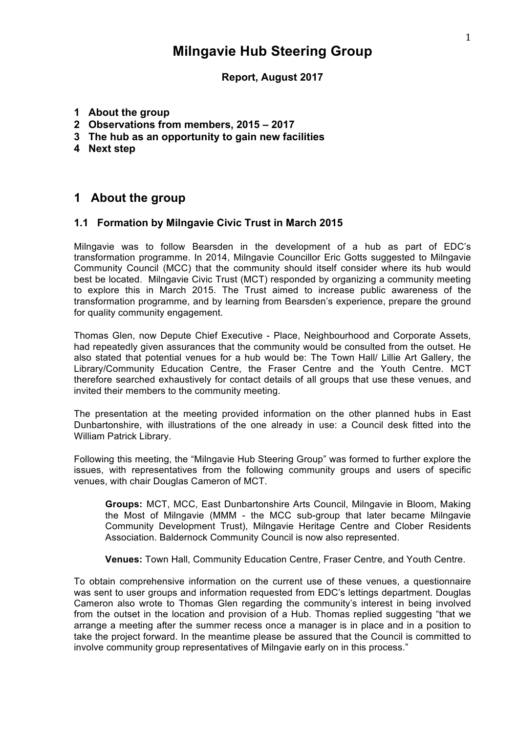# **Milngavie Hub Steering Group**

### **Report, August 2017**

- **1 About the group**
- **2 Observations from members, 2015 – 2017**
- **3 The hub as an opportunity to gain new facilities**
- **4 Next step**

## **1 About the group**

#### **1.1 Formation by Milngavie Civic Trust in March 2015**

Milngavie was to follow Bearsden in the development of a hub as part of EDC's transformation programme. In 2014, Milngavie Councillor Eric Gotts suggested to Milngavie Community Council (MCC) that the community should itself consider where its hub would best be located. Milngavie Civic Trust (MCT) responded by organizing a community meeting to explore this in March 2015. The Trust aimed to increase public awareness of the transformation programme, and by learning from Bearsden's experience, prepare the ground for quality community engagement.

Thomas Glen, now Depute Chief Executive - Place, Neighbourhood and Corporate Assets, had repeatedly given assurances that the community would be consulted from the outset. He also stated that potential venues for a hub would be: The Town Hall/ Lillie Art Gallery, the Library/Community Education Centre, the Fraser Centre and the Youth Centre. MCT therefore searched exhaustively for contact details of all groups that use these venues, and invited their members to the community meeting.

The presentation at the meeting provided information on the other planned hubs in East Dunbartonshire, with illustrations of the one already in use: a Council desk fitted into the William Patrick Library.

Following this meeting, the "Milngavie Hub Steering Group" was formed to further explore the issues, with representatives from the following community groups and users of specific venues, with chair Douglas Cameron of MCT.

**Groups:** MCT, MCC, East Dunbartonshire Arts Council, Milngavie in Bloom, Making the Most of Milngavie (MMM - the MCC sub-group that later became Milngavie Community Development Trust), Milngavie Heritage Centre and Clober Residents Association. Baldernock Community Council is now also represented.

**Venues:** Town Hall, Community Education Centre, Fraser Centre, and Youth Centre.

To obtain comprehensive information on the current use of these venues, a questionnaire was sent to user groups and information requested from EDC's lettings department. Douglas Cameron also wrote to Thomas Glen regarding the community's interest in being involved from the outset in the location and provision of a Hub. Thomas replied suggesting "that we arrange a meeting after the summer recess once a manager is in place and in a position to take the project forward. In the meantime please be assured that the Council is committed to involve community group representatives of Milngavie early on in this process."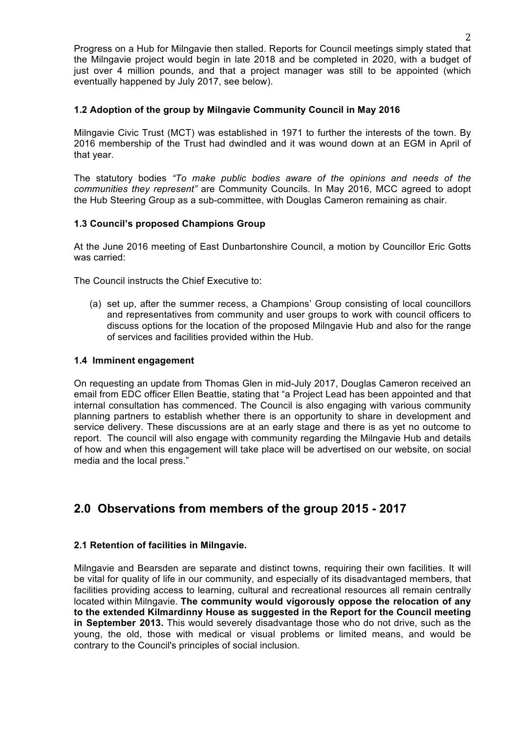Progress on a Hub for Milngavie then stalled. Reports for Council meetings simply stated that the Milngavie project would begin in late 2018 and be completed in 2020, with a budget of just over 4 million pounds, and that a project manager was still to be appointed (which eventually happened by July 2017, see below).

### **1.2 Adoption of the group by Milngavie Community Council in May 2016**

Milngavie Civic Trust (MCT) was established in 1971 to further the interests of the town. By 2016 membership of the Trust had dwindled and it was wound down at an EGM in April of that year.

The statutory bodies *"To make public bodies aware of the opinions and needs of the communities they represent"* are Community Councils*.* In May 2016, MCC agreed to adopt the Hub Steering Group as a sub-committee, with Douglas Cameron remaining as chair.

## **1.3 Council's proposed Champions Group**

At the June 2016 meeting of East Dunbartonshire Council, a motion by Councillor Eric Gotts was carried:

The Council instructs the Chief Executive to:

(a) set up, after the summer recess, a Champions' Group consisting of local councillors and representatives from community and user groups to work with council officers to discuss options for the location of the proposed Milngavie Hub and also for the range of services and facilities provided within the Hub.

#### **1.4 Imminent engagement**

On requesting an update from Thomas Glen in mid-July 2017, Douglas Cameron received an email from EDC officer Ellen Beattie, stating that "a Project Lead has been appointed and that internal consultation has commenced. The Council is also engaging with various community planning partners to establish whether there is an opportunity to share in development and service delivery. These discussions are at an early stage and there is as yet no outcome to report. The council will also engage with community regarding the Milngavie Hub and details of how and when this engagement will take place will be advertised on our website, on social media and the local press."

## **2.0 Observations from members of the group 2015 - 2017**

### **2.1 Retention of facilities in Milngavie.**

Milngavie and Bearsden are separate and distinct towns, requiring their own facilities. It will be vital for quality of life in our community, and especially of its disadvantaged members, that facilities providing access to learning, cultural and recreational resources all remain centrally located within Milngavie. **The community would vigorously oppose the relocation of any to the extended Kilmardinny House as suggested in the Report for the Council meeting in September 2013.** This would severely disadvantage those who do not drive, such as the young, the old, those with medical or visual problems or limited means, and would be contrary to the Council's principles of social inclusion.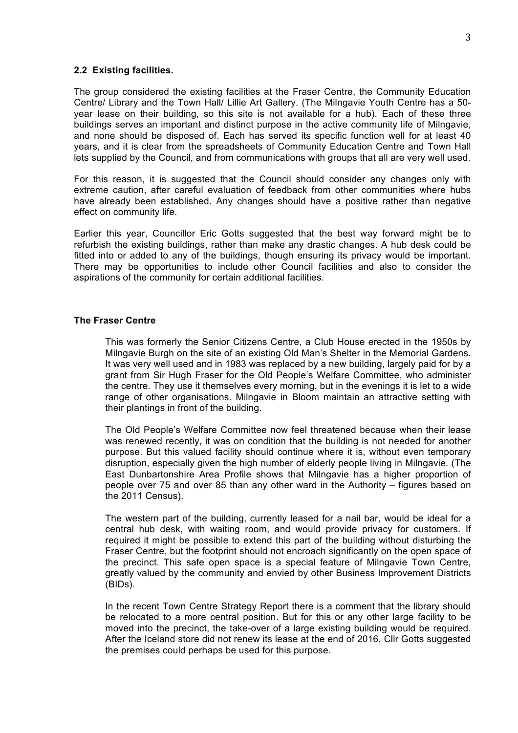#### **2.2 Existing facilities.**

The group considered the existing facilities at the Fraser Centre, the Community Education Centre/ Library and the Town Hall/ Lillie Art Gallery. (The Milngavie Youth Centre has a 50 year lease on their building, so this site is not available for a hub). Each of these three buildings serves an important and distinct purpose in the active community life of Milngavie, and none should be disposed of. Each has served its specific function well for at least 40 years, and it is clear from the spreadsheets of Community Education Centre and Town Hall lets supplied by the Council, and from communications with groups that all are very well used.

For this reason, it is suggested that the Council should consider any changes only with extreme caution, after careful evaluation of feedback from other communities where hubs have already been established. Any changes should have a positive rather than negative effect on community life.

Earlier this year, Councillor Eric Gotts suggested that the best way forward might be to refurbish the existing buildings, rather than make any drastic changes. A hub desk could be fitted into or added to any of the buildings, though ensuring its privacy would be important. There may be opportunities to include other Council facilities and also to consider the aspirations of the community for certain additional facilities.

#### **The Fraser Centre**

This was formerly the Senior Citizens Centre, a Club House erected in the 1950s by Milngavie Burgh on the site of an existing Old Man's Shelter in the Memorial Gardens. It was very well used and in 1983 was replaced by a new building, largely paid for by a grant from Sir Hugh Fraser for the Old People's Welfare Committee, who administer the centre. They use it themselves every morning, but in the evenings it is let to a wide range of other organisations. Milngavie in Bloom maintain an attractive setting with their plantings in front of the building.

The Old People's Welfare Committee now feel threatened because when their lease was renewed recently, it was on condition that the building is not needed for another purpose. But this valued facility should continue where it is, without even temporary disruption, especially given the high number of elderly people living in Milngavie. (The East Dunbartonshire Area Profile shows that Milngavie has a higher proportion of people over 75 and over 85 than any other ward in the Authority – figures based on the 2011 Census).

The western part of the building, currently leased for a nail bar, would be ideal for a central hub desk, with waiting room, and would provide privacy for customers. If required it might be possible to extend this part of the building without disturbing the Fraser Centre, but the footprint should not encroach significantly on the open space of the precinct. This safe open space is a special feature of Milngavie Town Centre, greatly valued by the community and envied by other Business Improvement Districts (BIDs).

In the recent Town Centre Strategy Report there is a comment that the library should be relocated to a more central position. But for this or any other large facility to be moved into the precinct, the take-over of a large existing building would be required. After the Iceland store did not renew its lease at the end of 2016, Cllr Gotts suggested the premises could perhaps be used for this purpose.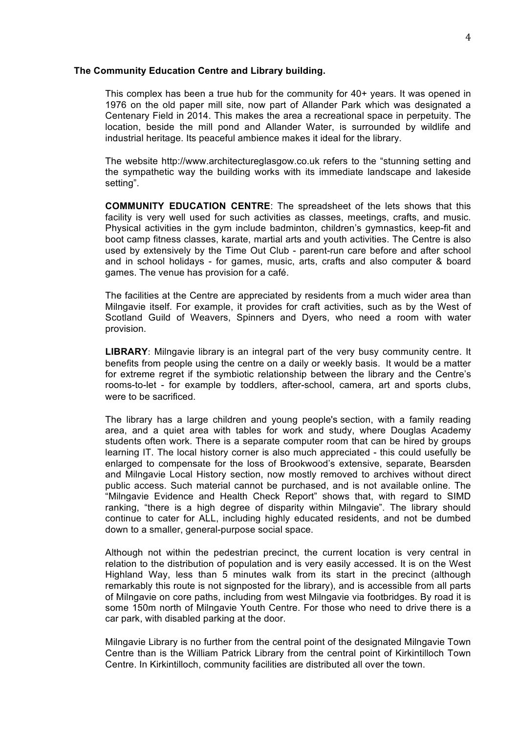#### **The Community Education Centre and Library building.**

This complex has been a true hub for the community for 40+ years. It was opened in 1976 on the old paper mill site, now part of Allander Park which was designated a Centenary Field in 2014. This makes the area a recreational space in perpetuity. The location, beside the mill pond and Allander Water, is surrounded by wildlife and industrial heritage. Its peaceful ambience makes it ideal for the library.

The website http://www.architectureglasgow.co.uk refers to the "stunning setting and the sympathetic way the building works with its immediate landscape and lakeside setting".

**COMMUNITY EDUCATION CENTRE**: The spreadsheet of the lets shows that this facility is very well used for such activities as classes, meetings, crafts, and music. Physical activities in the gym include badminton, children's gymnastics, keep-fit and boot camp fitness classes, karate, martial arts and youth activities. The Centre is also used by extensively by the Time Out Club - parent-run care before and after school and in school holidays - for games, music, arts, crafts and also computer & board games. The venue has provision for a café.

The facilities at the Centre are appreciated by residents from a much wider area than Milngavie itself. For example, it provides for craft activities, such as by the West of Scotland Guild of Weavers, Spinners and Dyers, who need a room with water provision.

**LIBRARY**: Milngavie library is an integral part of the very busy community centre. It benefits from people using the centre on a daily or weekly basis. It would be a matter for extreme regret if the symbiotic relationship between the library and the Centre's rooms-to-let - for example by toddlers, after-school, camera, art and sports clubs, were to be sacrificed.

The library has a large children and young people's section, with a family reading area, and a quiet area with tables for work and study, where Douglas Academy students often work. There is a separate computer room that can be hired by groups learning IT. The local history corner is also much appreciated - this could usefully be enlarged to compensate for the loss of Brookwood's extensive, separate, Bearsden and Milngavie Local History section, now mostly removed to archives without direct public access. Such material cannot be purchased, and is not available online. The "Milngavie Evidence and Health Check Report" shows that, with regard to SIMD ranking, "there is a high degree of disparity within Milngavie". The library should continue to cater for ALL, including highly educated residents, and not be dumbed down to a smaller, general-purpose social space.

Although not within the pedestrian precinct, the current location is very central in relation to the distribution of population and is very easily accessed. It is on the West Highland Way, less than 5 minutes walk from its start in the precinct (although remarkably this route is not signposted for the library), and is accessible from all parts of Milngavie on core paths, including from west Milngavie via footbridges. By road it is some 150m north of Milngavie Youth Centre. For those who need to drive there is a car park, with disabled parking at the door.

Milngavie Library is no further from the central point of the designated Milngavie Town Centre than is the William Patrick Library from the central point of Kirkintilloch Town Centre. In Kirkintilloch, community facilities are distributed all over the town.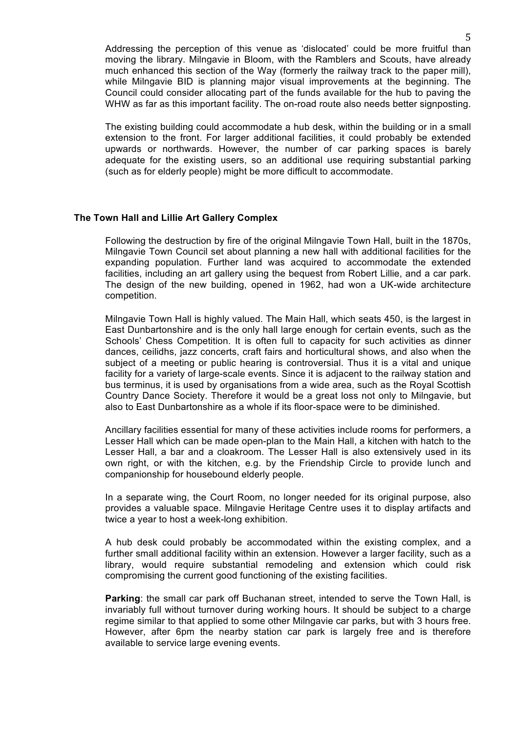Addressing the perception of this venue as 'dislocated' could be more fruitful than moving the library. Milngavie in Bloom, with the Ramblers and Scouts, have already much enhanced this section of the Way (formerly the railway track to the paper mill), while Milngavie BID is planning major visual improvements at the beginning. The Council could consider allocating part of the funds available for the hub to paving the WHW as far as this important facility. The on-road route also needs better signposting.

The existing building could accommodate a hub desk, within the building or in a small extension to the front. For larger additional facilities, it could probably be extended upwards or northwards. However, the number of car parking spaces is barely adequate for the existing users, so an additional use requiring substantial parking (such as for elderly people) might be more difficult to accommodate.

#### **The Town Hall and Lillie Art Gallery Complex**

Following the destruction by fire of the original Milngavie Town Hall, built in the 1870s, Milngavie Town Council set about planning a new hall with additional facilities for the expanding population. Further land was acquired to accommodate the extended facilities, including an art gallery using the bequest from Robert Lillie, and a car park. The design of the new building, opened in 1962, had won a UK-wide architecture competition.

Milngavie Town Hall is highly valued. The Main Hall, which seats 450, is the largest in East Dunbartonshire and is the only hall large enough for certain events, such as the Schools' Chess Competition. It is often full to capacity for such activities as dinner dances, ceilidhs, jazz concerts, craft fairs and horticultural shows, and also when the subject of a meeting or public hearing is controversial. Thus it is a vital and unique facility for a variety of large-scale events. Since it is adjacent to the railway station and bus terminus, it is used by organisations from a wide area, such as the Royal Scottish Country Dance Society. Therefore it would be a great loss not only to Milngavie, but also to East Dunbartonshire as a whole if its floor-space were to be diminished.

Ancillary facilities essential for many of these activities include rooms for performers, a Lesser Hall which can be made open-plan to the Main Hall, a kitchen with hatch to the Lesser Hall, a bar and a cloakroom. The Lesser Hall is also extensively used in its own right, or with the kitchen, e.g. by the Friendship Circle to provide lunch and companionship for housebound elderly people.

In a separate wing, the Court Room, no longer needed for its original purpose, also provides a valuable space. Milngavie Heritage Centre uses it to display artifacts and twice a year to host a week-long exhibition.

A hub desk could probably be accommodated within the existing complex, and a further small additional facility within an extension. However a larger facility, such as a library, would require substantial remodeling and extension which could risk compromising the current good functioning of the existing facilities.

**Parking**: the small car park off Buchanan street, intended to serve the Town Hall, is invariably full without turnover during working hours. It should be subject to a charge regime similar to that applied to some other Milngavie car parks, but with 3 hours free. However, after 6pm the nearby station car park is largely free and is therefore available to service large evening events.